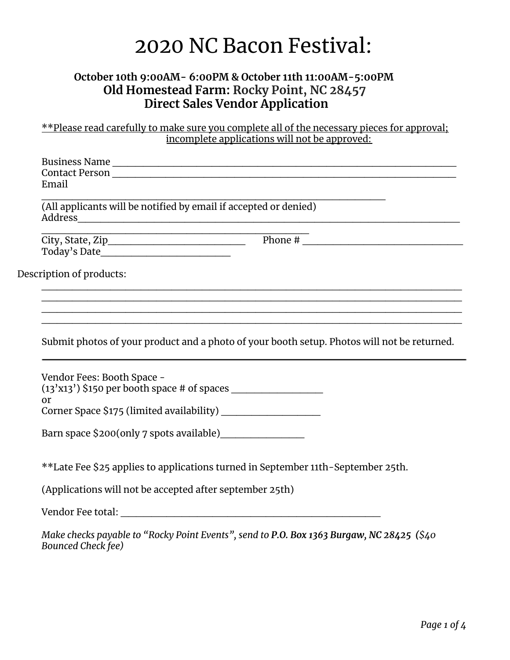# 2020 NC Bacon Festival:

## **October 10th 9:00AM- 6:00PM & October 11th 11:00AM-5:00PM Old Homestead Farm: Rocky Point, NC 28457 Direct Sales Vendor Application**

\*\*Please read carefully to make sure you complete all of the necessary pieces for approval; incomplete applications will not be approved:

| Email                                                                                                                                      |                                                                                                                                                                                                                                                                                                                                                                                                              |
|--------------------------------------------------------------------------------------------------------------------------------------------|--------------------------------------------------------------------------------------------------------------------------------------------------------------------------------------------------------------------------------------------------------------------------------------------------------------------------------------------------------------------------------------------------------------|
| (All applicants will be notified by email if accepted or denied)                                                                           |                                                                                                                                                                                                                                                                                                                                                                                                              |
| <u> 1980 - Johann John Stone, market e skriuwer yn de ferfinning yn de ferfinning yn de ferfinning yn de ferfinnin</u><br>City, State, Zip | Phone # $\frac{1}{\sqrt{1-\frac{1}{2}}\sqrt{1-\frac{1}{2}}\sqrt{1-\frac{1}{2}}\sqrt{1-\frac{1}{2}}\sqrt{1-\frac{1}{2}}\sqrt{1-\frac{1}{2}}\sqrt{1-\frac{1}{2}}\sqrt{1-\frac{1}{2}}\sqrt{1-\frac{1}{2}}\sqrt{1-\frac{1}{2}}\sqrt{1-\frac{1}{2}}\sqrt{1-\frac{1}{2}}\sqrt{1-\frac{1}{2}}\sqrt{1-\frac{1}{2}}\sqrt{1-\frac{1}{2}}\sqrt{1-\frac{1}{2}}\sqrt{1-\frac{1}{2}}\sqrt{1-\frac{1}{2}}\sqrt{1-\frac{1}{$ |
|                                                                                                                                            |                                                                                                                                                                                                                                                                                                                                                                                                              |
| Description of products:                                                                                                                   |                                                                                                                                                                                                                                                                                                                                                                                                              |
|                                                                                                                                            |                                                                                                                                                                                                                                                                                                                                                                                                              |
|                                                                                                                                            |                                                                                                                                                                                                                                                                                                                                                                                                              |
|                                                                                                                                            |                                                                                                                                                                                                                                                                                                                                                                                                              |
| Vendor Fees: Booth Space -                                                                                                                 |                                                                                                                                                                                                                                                                                                                                                                                                              |
|                                                                                                                                            |                                                                                                                                                                                                                                                                                                                                                                                                              |
| or<br>Corner Space \$175 (limited availability) ____________________                                                                       |                                                                                                                                                                                                                                                                                                                                                                                                              |
|                                                                                                                                            |                                                                                                                                                                                                                                                                                                                                                                                                              |
|                                                                                                                                            | **Late Fee \$25 applies to applications turned in September 11th-September 25th.                                                                                                                                                                                                                                                                                                                             |
| (Applications will not be accepted after september 25th)                                                                                   | Submit photos of your product and a photo of your booth setup. Photos will not be returned.                                                                                                                                                                                                                                                                                                                  |

*Make checks payable to "Rocky Point Events", send to P.O. Box 1363 Burgaw, NC 28425 (\$40 Bounced Check fee)*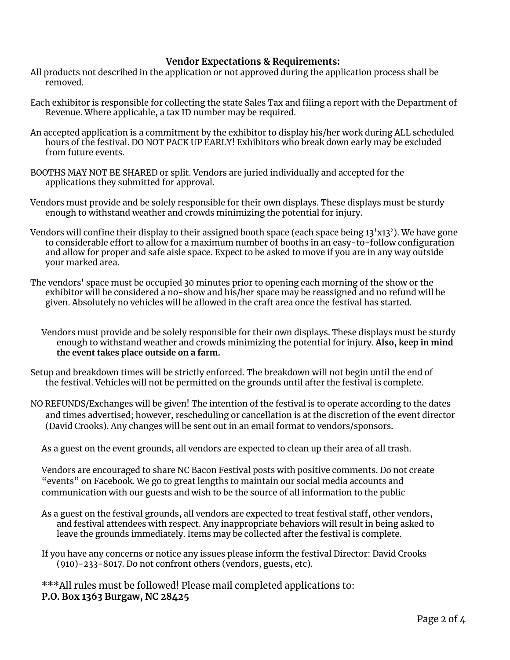#### **Vendor Expectations & Requirements:**

- All products not described in the application or not approved during the application process shall be .<br>removed.
- Each exhibitor is responsible for collecting the state Sales Tax and filing a report with the Department of Revenue. Where applicable, a tax ID number may be required.
- An accepted application is a commitment by the exhibitor to display his/her work during ALL scheduled hours of the festival. DO NOT PACK UP EARLY! Exhibitors who break down early may be excluded from future events.
- BOOTHS MAY NOT BE SHARED or split. Vendors are juried individually and accepted for the applications they submitted for approval.
- Vendors must provide and be solely responsible for their own displays. These displays must be sturdy enough to withstand weather and crowds minimizing the potential for injury.
- Vendors will confine their display to their assigned booth space (each space being 13'x13'). We have gone to considerable effort to allow for a maximum number of booths in an easy-to-follow configuration and allow for proper and safe aisle space. Expect to be asked to move if you are in any way outside your marked area.
- The vendors' space must be occupied 30 minutes prior to opening each morning of the show or the exhibitor will be considered a no-show and his/her space may be reassigned and no refund will be given. Absolutely no vehicles will be allowed in the craft area once the festival has started.
	- Vendors must provide and be solely responsible for their own displays. These displays must be sturdy enough to withstand weather and crowds minimizing the potential for injury. **Also, keep in mind the event takes place outside on a farm.**
- Setup and breakdown times will be strictly enforced. The breakdown will not begin until the end of the festival. Vehicles will not be permitted on the grounds until after the festival is complete.
- NO REFUNDS/Exchanges will be given! The intention of the festival is to operate according to the dates and times advertised; however, rescheduling or cancellation is at the discretion of the event director (David Crooks). Any changes will be sent out in an email format to vendors/sponsors.
	- As a guest on the event grounds, all vendors are expected to clean up their area of all trash.

Vendors are encouraged to share NC Bacon Festival posts with positive comments. Do not create "events" on Facebook. We go to great lengths to maintain our social media accounts and communication with our guests and wish to be the source of all information to the public

- As a guest on the festival grounds, all vendors are expected to treat festival staff, other vendors, and festival attendees with respect. Any inappropriate behaviors will result in being asked to leave the grounds immediately. Items may be collected after the festival is complete.
- If you have any concerns or notice any issues please inform the festival Director: David Crooks (910)-233-8017. Do not confront others (vendors, guests, etc).

\*\*\*All rules must be followed! Please mail completed applications to: **P.O. Box 1363 Burgaw, NC 28425**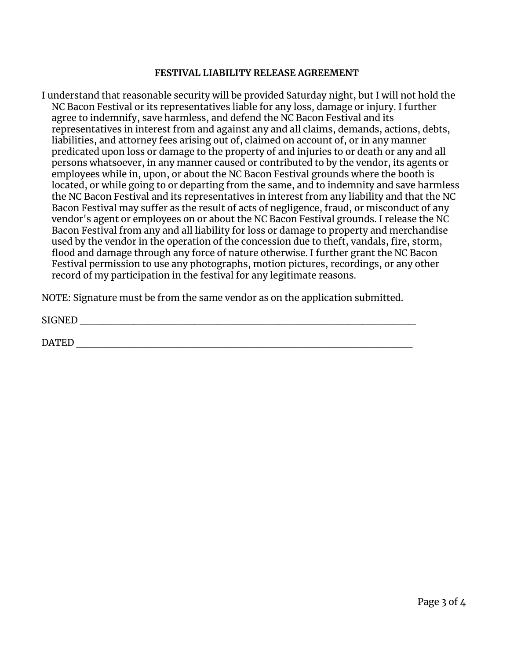#### **FESTIVAL LIABILITY RELEASE AGREEMENT**

I understand that reasonable security will be provided Saturday night, but I will not hold the NC Bacon Festival or its representatives liable for any loss, damage or injury. I further agree to indemnify, save harmless, and defend the NC Bacon Festival and its representatives in interest from and against any and all claims, demands, actions, debts, liabilities, and attorney fees arising out of, claimed on account of, or in any manner predicated upon loss or damage to the property of and injuries to or death or any and all persons whatsoever, in any manner caused or contributed to by the vendor, its agents or employees while in, upon, or about the NC Bacon Festival grounds where the booth is located, or while going to or departing from the same, and to indemnity and save harmless the NC Bacon Festival and its representatives in interest from any liability and that the NC Bacon Festival may suffer as the result of acts of negligence, fraud, or misconduct of any vendor's agent or employees on or about the NC Bacon Festival grounds. I release the NC Bacon Festival from any and all liability for loss or damage to property and merchandise used by the vendor in the operation of the concession due to theft, vandals, fire, storm, flood and damage through any force of nature otherwise. I further grant the NC Bacon Festival permission to use any photographs, motion pictures, recordings, or any other record of my participation in the festival for any legitimate reasons.

NOTE: Signature must be from the same vendor as on the application submitted.

SIGNED \_\_\_\_\_\_\_\_\_\_\_\_\_\_\_\_\_\_\_\_\_\_\_\_\_\_\_\_\_\_\_\_\_\_\_\_\_\_\_\_\_\_\_\_

DATED \_\_\_\_\_\_\_\_\_\_\_\_\_\_\_\_\_\_\_\_\_\_\_\_\_\_\_\_\_\_\_\_\_\_\_\_\_\_\_\_\_\_\_\_